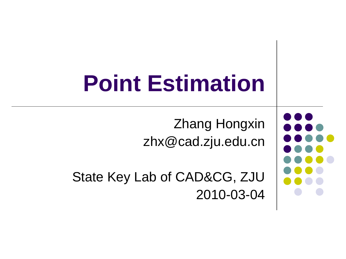# **Point Estimation**

Zhang Hongxin zhx@cad.zju.edu.cn

State Key Lab of CAD&CG, ZJU 2010-03-04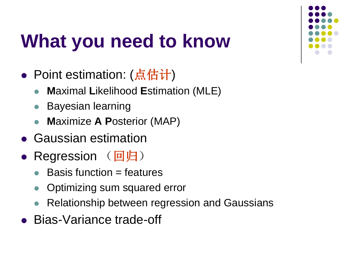# **What you need to know**

- Point estimation: (点估计)
	- **M**aximal **L**ikelihood **E**stimation (MLE)
	- Bayesian learning
	- **M**aximize **A P**osterior (MAP)
- Gaussian estimation
- Regression (回归)
	- Basis function = features
	- Optimizing sum squared error
	- Relationship between regression and Gaussians
- Bias-Variance trade-off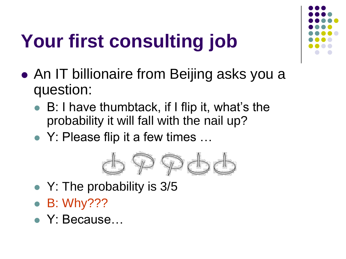# **Your first consulting job**

- An IT billionaire from Beijing asks you a question:
	- B: I have thumbtack, if I flip it, what's the probability it will fall with the nail up?
	- Y: Please flip it a few times ...



- Y: The probability is 3/5
- B: Why???
- Y: Because…

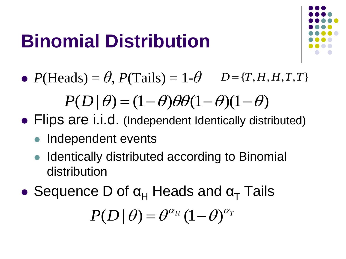# **Binomial Distribution**



•  $P(\text{Heads}) = \theta$ ,  $P(\text{Tails}) = 1-\theta$   $D = \{T, H, H, T, T\}$ 

 $P(D|\theta) = (1-\theta)\theta\theta(1-\theta)(1-\theta)$ 

- Flips are i.i.d. (Independent Identically distributed)
	- Independent events
	- Identically distributed according to Binomial distribution
- Sequence D of  $\alpha_H$  Heads and  $\alpha_T$  Tails

 $P(D | \theta) = \theta^{\alpha_H} (1-\theta)^{\alpha_T}$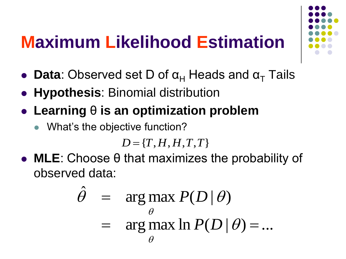### **Maximum Likelihood Estimation**

- **Data**: Observed set D of  $\alpha_H$  Heads and  $\alpha_T$  Tails
- **Hypothesis**: Binomial distribution
- **Learning** θ **is an optimization problem**
	- What's the objective function?

 $D = \{T, H, H, T, T\}$ 

 **MLE**: Choose θ that maximizes the probability of observed data:

$$
\hat{\theta} = \underset{\theta}{\arg \max} P(D | \theta)
$$
  
= 
$$
\underset{\theta}{\arg \max} \ln P(D | \theta) = ...
$$

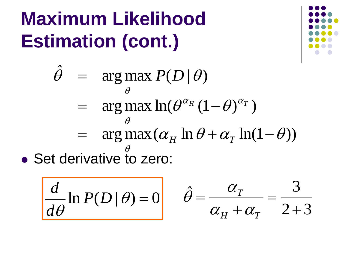# **Maximum Likelihood Estimation (cont.)**



• Set derivative to zero:  $= \arg \max (\alpha_H \ln \theta + \alpha_T \ln(1-\theta))$  $= \arg \max \ln(\theta^{\alpha_H}(1-\theta)^{\alpha_T})$  $arg max P(D | \theta)$  $\hat{\theta}$  = arg max  $P(D|\theta)$  $\theta$  $\theta$  $\theta$ 

$$
\frac{d}{d\theta}\ln P(D|\theta) = 0
$$

$$
\hat{\theta} = \frac{\alpha_{T}}{\alpha_{H} + \alpha_{T}} = \frac{3}{2+3}
$$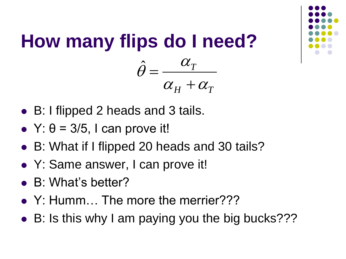

#### **How many flips do I need?**  $H$   $\mathbf{u}_T$ *T*  $\alpha_{\rm\scriptscriptstyle II}$  +  $\alpha_{\rm\scriptscriptstyle I}$  $\alpha$  $\theta$  $\ddag$  $=$  $\boldsymbol{\hat{\mathcal{J}}}$

- B: I flipped 2 heads and 3 tails.
- $\bullet$  Y:  $\theta$  = 3/5, I can prove it!
- B: What if I flipped 20 heads and 30 tails?
- Y: Same answer, I can prove it!
- B: What's better?
- Y: Humm... The more the merrier???
- B: Is this why I am paying you the big bucks???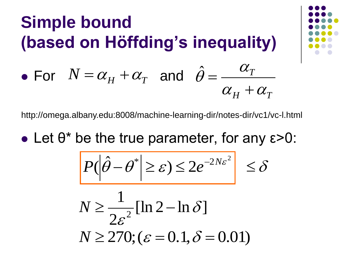### **Simple bound (based on Höffding's inequality)**

• For  $N = \alpha_H + \alpha_T$  and  $\hat{\theta} = \frac{\alpha_T}{\sigma_T}$ 

http://omega.albany.edu:8008/machine-learning-dir/notes-dir/vc1/vc-l.html

• Let  $\theta^*$  be the true parameter, for any  $\varepsilon > 0$ :

$$
\left| P(\left|\hat{\theta} - \theta^* \right| \geq \varepsilon) \leq 2e^{-2N\varepsilon^2} \right| \leq \delta
$$

$$
N \ge \frac{1}{2\varepsilon^2} [\ln 2 - \ln \delta]
$$
  

$$
N \ge 270; (\varepsilon = 0.1, \delta = 0.01)
$$



 $H$   $^{\mathsf{I}}$   $\boldsymbol{\alpha}_T$ 

 $\alpha_{H} + \alpha_{H}$ 

 $\alpha$ 

 $\hat{\theta} =$  $\boldsymbol{\hat{\mathcal{J}}}$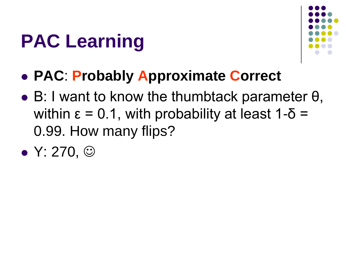# **PAC Learning**



- **PAC**: **Probably Approximate Correct**
- $\bullet$  B: I want to know the thumbtack parameter  $\theta$ , within  $\epsilon = 0.1$ , with probability at least 1-δ = 0.99. How many flips?
- $\bullet$  Y: 270,  $\odot$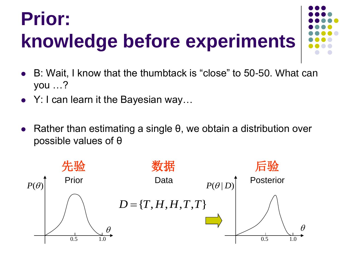# **Prior: knowledge before experiments**



- B: Wait, I know that the thumbtack is "close" to 50-50. What can you …?
- Y: I can learn it the Bayesian way...
- Rather than estimating a single θ, we obtain a distribution over possible values of θ

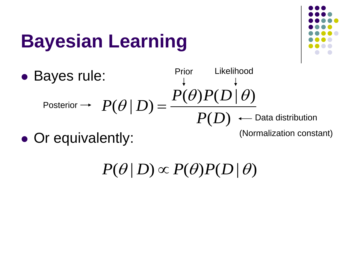# **Bayesian Learning**



• Bayes rule: • Or equivalently:  $P(D)$  $(\theta) P(D | \theta)$  $(\theta | D)$  $P(\theta)P(D)$  $P(\theta | D)$  $\theta$ ) $P(D|\theta)$  $\theta | D$  = Posterior Prior Likelihood - Data distribution (Normalization constant)

 $P(\theta | D) \propto P(\theta) P(D | \theta)$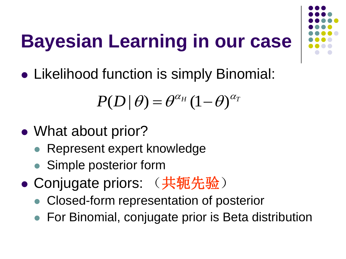# **Bayesian Learning in our case**

• Likelihood function is simply Binomial:

$$
P(D | \theta) = \theta^{\alpha_H} (1-\theta)^{\alpha_T}
$$

- What about prior?
	- Represent expert knowledge
	- Simple posterior form
- Conjugate priors: (共轭先验)
	- Closed-form representation of posterior
	- For Binomial, conjugate prior is Beta distribution

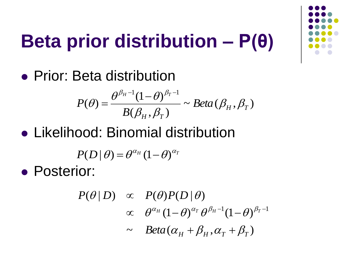# **Beta prior distribution – P(θ)**

• Prior: Beta distribution

$$
P(\theta) = \frac{\theta^{\beta_H - 1} (1 - \theta)^{\beta_T - 1}}{B(\beta_H, \beta_T)} \sim Beta(\beta_H, \beta_T)
$$

Likelihood: Binomial distribution

$$
P(D | \theta) = \theta^{\alpha_H} (1-\theta)^{\alpha_I}
$$

**• Posterior:** 

$$
P(\theta | D) \propto P(\theta)P(D | \theta)
$$
  
 
$$
\propto \theta^{\alpha_H} (1-\theta)^{\alpha_T} \theta^{\beta_H-1} (1-\theta)^{\beta_T-1}
$$
  
 
$$
\sim Beta(\alpha_H + \beta_H, \alpha_T + \beta_T)
$$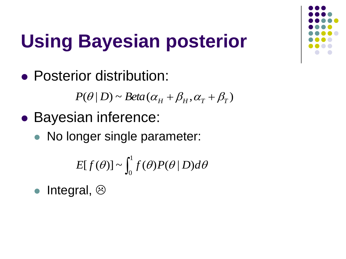

# **Using Bayesian posterior**

• Posterior distribution:

 $P(\theta | D) \sim Beta(\alpha_{H} + \beta_{H}, \alpha_{T} + \beta_{T})$ 

- Bayesian inference:
	- No longer single parameter:

$$
E[f(\theta)] \sim \int_0^1 f(\theta) P(\theta | D) d\theta
$$

• Integral,  $\odot$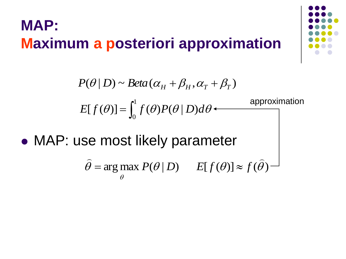#### **MAP: Maximum a posteriori approximation**



 $=$   $\int_0$ 1 0  $E[f(\theta)] = \int_{a}^{b} f(\theta)P(\theta | D) d\theta$  $P(\theta | D) \sim Beta(\alpha_{H} + \beta_{H}, \alpha_{T} + \beta_{T})$ approximation

MAP: use most likely parameter

$$
\hat{\theta}
$$
 = arg max  $P(\theta | D)$   $E[f(\theta)] \approx f(\hat{\theta})$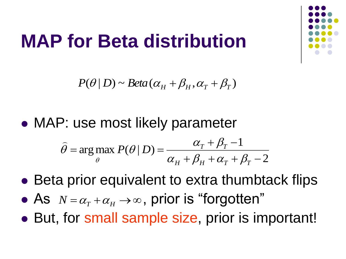### **MAP for Beta distribution**

 $P(\theta | D) \sim Beta(\alpha_{H} + \beta_{H}, \alpha_{T} + \beta_{T})$ 

MAP: use most likely parameter

$$
\hat{\theta} = \arg \max_{\theta} P(\theta | D) = \frac{\alpha_T + \beta_T - 1}{\alpha_H + \beta_H + \alpha_T + \beta_T - 2}
$$

- Beta prior equivalent to extra thumbtack flips
- As  $N = \alpha_T + \alpha_H \rightarrow \infty$ , prior is "forgotten"
- But, for small sample size, prior is important!

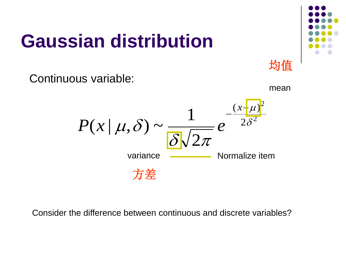# **Gaussian distribution**

mean

均值

Continuous variable:



Consider the difference between continuous and discrete variables?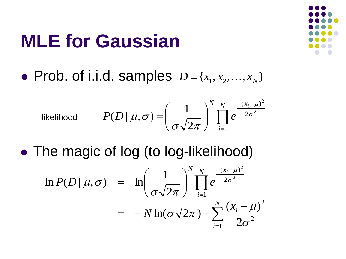### **MLE for Gaussian**

• Prob. of i.i.d. samples  $D = \{x_1, x_2, ..., x_N\}$ 

likelihood 
$$
P(D | \mu, \sigma) = \left(\frac{1}{\sigma \sqrt{2\pi}}\right)^N \prod_{i=1}^N e^{\frac{-(x_i - \mu)^2}{2\sigma^2}}
$$

• The magic of log (to log-likelihood)

$$
\ln P(D \mid \mu, \sigma) = \ln \left( \frac{1}{\sigma \sqrt{2\pi}} \right)^N \prod_{i=1}^N e^{\frac{-(x_i - \mu)^2}{2\sigma^2}} \n= -N \ln(\sigma \sqrt{2\pi}) - \sum_{i=1}^N \frac{(x_i - \mu)^2}{2\sigma^2}
$$

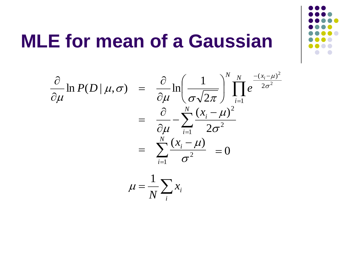

### **MLE for mean of a Gaussian**

$$
\frac{\partial}{\partial \mu} \ln P(D \mid \mu, \sigma) = \frac{\partial}{\partial \mu} \ln \left( \frac{1}{\sigma \sqrt{2\pi}} \right)^{N} \prod_{i=1}^{N} e^{\frac{-(x_i - \mu)^2}{2\sigma^2}}
$$

$$
= \frac{\partial}{\partial \mu} - \sum_{i=1}^{N} \frac{(x_i - \mu)^2}{2\sigma^2}
$$

$$
= \sum_{i=1}^{N} \frac{(x_i - \mu)}{\sigma^2} = 0
$$

$$
\mu = \frac{1}{N} \sum_{i} x_i
$$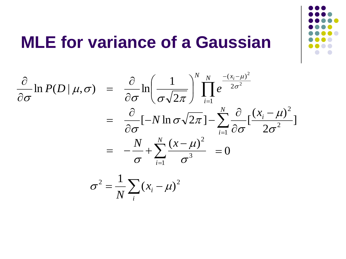

#### **MLE for variance of a Gaussian**

 $\sum$  $\sum$  $\prod$  $=$  $=$ =  $-(x_i =$   $-\frac{1}{1}$ —  $\partial$  $\partial$  $-N \ln \sigma \sqrt{2\pi}$ ]- $\partial$  $\partial$  $=$  $\overline{\phantom{a}}$  $\int$  $\left.\rule{0pt}{10pt}\right.$  $\mathbf{r}$  $\setminus$  $\bigg($  $\partial$  $\partial$  $=$  $\partial$  $\partial$ <sub>1</sub>  $P(P|)$   $\partial$ <sub>1</sub>  $\left(1\right)^{N}$  $N \left| \sum_{i=1}^N (x_i - x_i)^2 \right|$ *i N i i x i*  $N_N$   $-(x)$ *N*  $P(D | \mu, \sigma) = \frac{C}{2} \ln \left| \frac{1}{\sigma} \right| \prod e$ *i* 1 3  $\left(x - \mu\right)^2$ 1 2 2 1 2  $(x_i - \mu)$ ] 2  $(x_i - \mu)$  $[-N \ln \sigma \sqrt{2\pi}] - \sum_{i=1}^{N}$ 2 1  $\ln P(D | \mu, \sigma) = \frac{U}{2} \ln \left| \frac{1}{\sqrt{1 - \sigma^2}} \right| \prod e^{-2\sigma^2}$ 2  $\sigma$  $\mu$  $\sigma$  $\sigma$  $\mu$  $\sigma$  $\sigma$   $\sqrt{2\pi}$  $\sigma$  $\sigma \cup \sigma \sqrt{2\pi}$  $\mu,\sigma$  $\sigma$  $\sigma$  $\mu$  $= 0$  $=\frac{1}{N}\sum_{i}(x_i$ *i i x N*  $x^2 = \frac{1}{\sqrt{2}} \sum_{i} (x_i - \mu)^2$ 1  $\sigma^- = \frac{1}{\sqrt{2}}$   $(x_i - \mu)$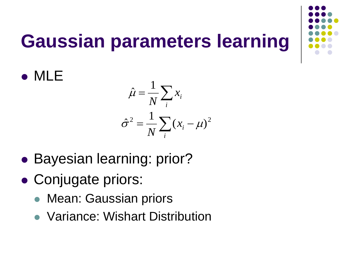# **Gaussian parameters learning**

- $=\frac{1}{N}\sum$ *i i x N* 1  $\hat{\mu}$  $=\frac{1}{N}\sum(x_i$ *i i x N*  $x^2 = \frac{1}{\sqrt{2}} \sum_{i} (x_i - \mu)^2$ 1  $\hat{\sigma}^2 = \frac{1}{N} \sum_i (x_i - \mu)$
- Bayesian learning: prior?
- Conjugate priors:

MLE

- Mean: Gaussian priors
- Variance: Wishart Distribution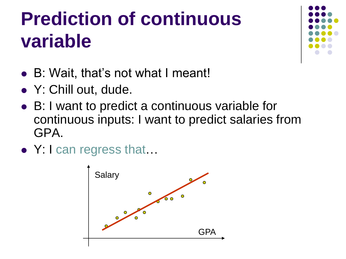# **Prediction of continuous variable**



- B: Wait, that's not what I meant!
- Y: Chill out, dude.
- B: I want to predict a continuous variable for continuous inputs: I want to predict salaries from GPA.
- Y: I can regress that...

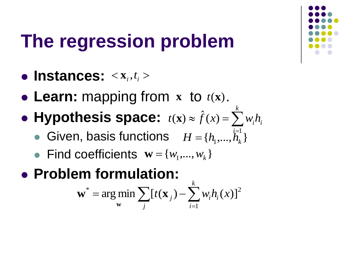

# **The regression problem**

- $\bullet$  Instances:  $\langle \mathbf{x}_i, t_i \rangle$
- Learn: mapping from  $x$  to  $t(x)$ .
- Hypothesis space:  $t(x) \approx \hat{f}(x) = \sum_{i=1}^{n}$ *k*  $t(\mathbf{x}) \approx \hat{f}(x) = \sum_{i=1}^{n} w_i h_i$ 
	- Given, basis functions  $H = \{h_1, ..., h_k\}$ *i* 1
	- Find coefficients  $\mathbf{w} = \{w_1, ..., w_k\}$
- **Problem formulation:**

$$
\mathbf{w}^* = \arg\min_{\mathbf{w}} \sum_j [t(\mathbf{x}_j) - \sum_{i=1}^k w_i h_i(x)]^2
$$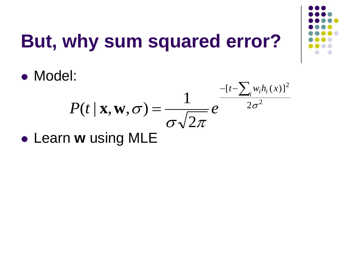

# **But, why sum squared error?**

Model:

#### 2 2 2  $[t-\sum_{i}w_{i}h_{i}(x)]$ 2 1  $(t | \mathbf{x}, \mathbf{w}, \sigma) = \frac{1}{\sqrt{2\pi}} e^{-2\sigma}$  $\sigma$  $\sqrt{2\pi}$  $\sigma$  $\sum$  $=$  $-[t$  $t-\sum_{i} w_{i}h_{i}$  (x  $P(t | \mathbf{x}, \mathbf{w}, \sigma) = \frac{1}{\sigma} e^{-\frac{t^2}{2\sigma^2}}$

Learn **w** using MLE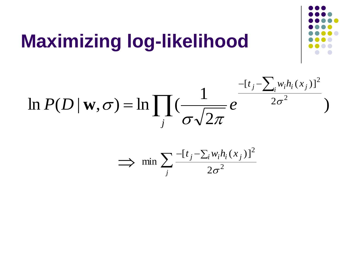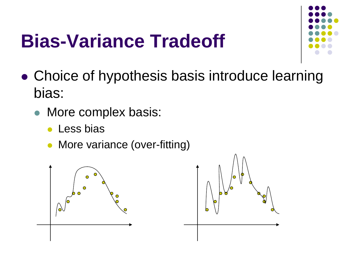## **Bias-Variance Tradeoff**



- Choice of hypothesis basis introduce learning bias:
	- More complex basis:
		- **Less bias**
		- More variance (over-fitting)



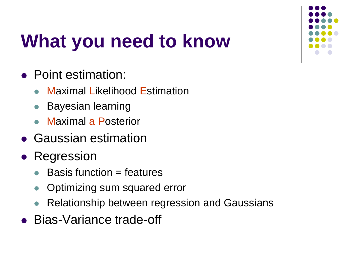

# **What you need to know**

- Point estimation:
	- Maximal Likelihood Estimation
	- Bayesian learning
	- Maximal a Posterior
- Gaussian estimation
- Regression
	- Basis function = features
	- Optimizing sum squared error
	- Relationship between regression and Gaussians
- Bias-Variance trade-off